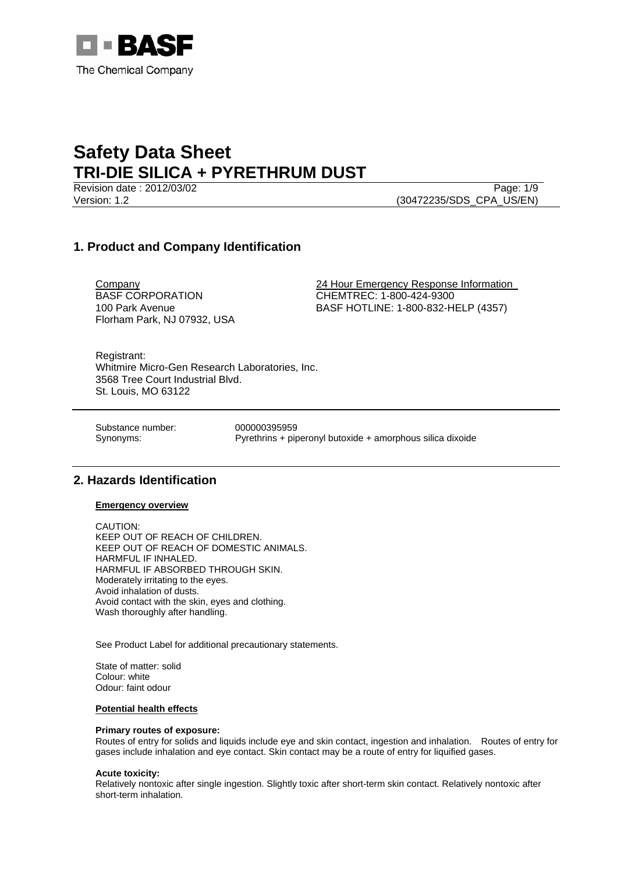

Revision date : 2012/03/02 Page: 1/9 Version: 1.2 (30472235/SDS\_CPA\_US/EN)

## **1. Product and Company Identification**

BASF CORPORATION 100 Park Avenue Florham Park, NJ 07932, USA

Company 24 Hour Emergency Response Information CHEMTREC: 1-800-424-9300 BASF HOTLINE: 1-800-832-HELP (4357)

Registrant: Whitmire Micro-Gen Research Laboratories, Inc. 3568 Tree Court Industrial Blvd. St. Louis, MO 63122

Substance number: 000000395959

Synonyms: Pyrethrins + piperonyl butoxide + amorphous silica dixoide

## **2. Hazards Identification**

**Emergency overview**

CAUTION: KEEP OUT OF REACH OF CHILDREN. KEEP OUT OF REACH OF DOMESTIC ANIMALS. HARMFUL IF INHALED. HARMFUL IF ABSORBED THROUGH SKIN. Moderately irritating to the eyes. Avoid inhalation of dusts. Avoid contact with the skin, eyes and clothing. Wash thoroughly after handling.

See Product Label for additional precautionary statements.

State of matter: solid Colour: white Odour: faint odour

#### **Potential health effects**

#### **Primary routes of exposure:**

Routes of entry for solids and liquids include eye and skin contact, ingestion and inhalation. Routes of entry for gases include inhalation and eye contact. Skin contact may be a route of entry for liquified gases.

#### **Acute toxicity:**

Relatively nontoxic after single ingestion. Slightly toxic after short-term skin contact. Relatively nontoxic after short-term inhalation.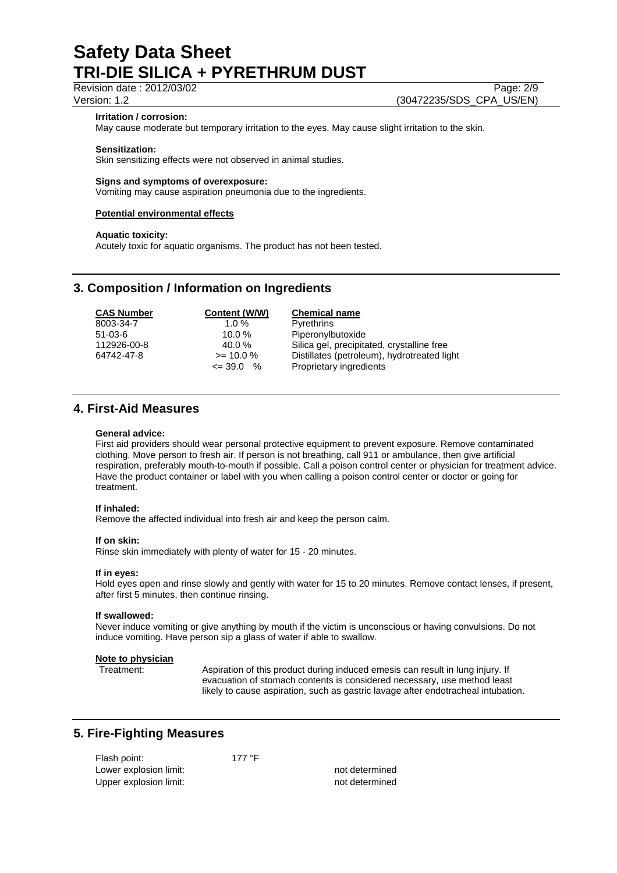### Revision date : 2012/03/02 Page: 2/9

#### **Irritation / corrosion:**

May cause moderate but temporary irritation to the eyes. May cause slight irritation to the skin.

#### **Sensitization:**

Skin sensitizing effects were not observed in animal studies.

#### **Signs and symptoms of overexposure:**

Vomiting may cause aspiration pneumonia due to the ingredients.

## **Potential environmental effects**

#### **Aquatic toxicity:**

Acutely toxic for aquatic organisms. The product has not been tested.

### **3. Composition / Information on Ingredients**

| Silica gel, precipitated, crystalline free  |
|---------------------------------------------|
| Distillates (petroleum), hydrotreated light |
|                                             |

## **4. First-Aid Measures**

#### **General advice:**

First aid providers should wear personal protective equipment to prevent exposure. Remove contaminated clothing. Move person to fresh air. If person is not breathing, call 911 or ambulance, then give artificial respiration, preferably mouth-to-mouth if possible. Call a poison control center or physician for treatment advice. Have the product container or label with you when calling a poison control center or doctor or going for treatment.

#### **If inhaled:**

Remove the affected individual into fresh air and keep the person calm.

#### **If on skin:**

Rinse skin immediately with plenty of water for 15 - 20 minutes.

#### **If in eyes:**

Hold eyes open and rinse slowly and gently with water for 15 to 20 minutes. Remove contact lenses, if present, after first 5 minutes, then continue rinsing.

#### **If swallowed:**

Never induce vomiting or give anything by mouth if the victim is unconscious or having convulsions. Do not induce vomiting. Have person sip a glass of water if able to swallow.

#### **Note to physician**

Treatment: Aspiration of this product during induced emesis can result in lung injury. If evacuation of stomach contents is considered necessary, use method least likely to cause aspiration, such as gastric lavage after endotracheal intubation.

## **5. Fire-Fighting Measures**

| Flash point:           | 177 °F |                |
|------------------------|--------|----------------|
| Lower explosion limit: |        | not determined |
| Upper explosion limit: |        | not determined |

Version: 1.2 (30472235/SDS\_CPA\_US/EN)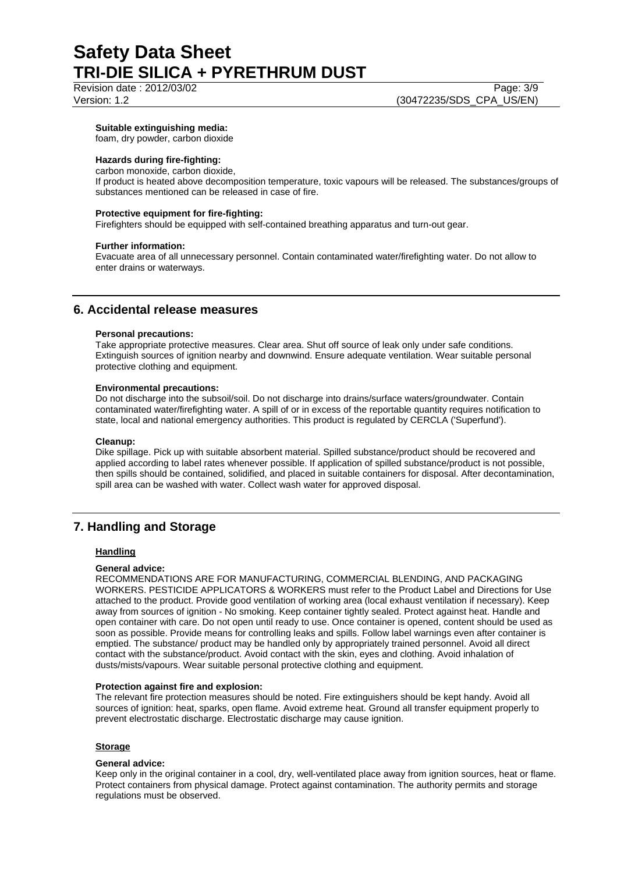# Revision date : 2012/03/02 Page: 3/9

## **Suitable extinguishing media:**

foam, dry powder, carbon dioxide

### **Hazards during fire-fighting:**

carbon monoxide, carbon dioxide,

If product is heated above decomposition temperature, toxic vapours will be released. The substances/groups of substances mentioned can be released in case of fire.

#### **Protective equipment for fire-fighting:**

Firefighters should be equipped with self-contained breathing apparatus and turn-out gear.

#### **Further information:**

Evacuate area of all unnecessary personnel. Contain contaminated water/firefighting water. Do not allow to enter drains or waterways.

## **6. Accidental release measures**

#### **Personal precautions:**

Take appropriate protective measures. Clear area. Shut off source of leak only under safe conditions. Extinguish sources of ignition nearby and downwind. Ensure adequate ventilation. Wear suitable personal protective clothing and equipment.

#### **Environmental precautions:**

Do not discharge into the subsoil/soil. Do not discharge into drains/surface waters/groundwater. Contain contaminated water/firefighting water. A spill of or in excess of the reportable quantity requires notification to state, local and national emergency authorities. This product is regulated by CERCLA ('Superfund').

#### **Cleanup:**

Dike spillage. Pick up with suitable absorbent material. Spilled substance/product should be recovered and applied according to label rates whenever possible. If application of spilled substance/product is not possible, then spills should be contained, solidified, and placed in suitable containers for disposal. After decontamination, spill area can be washed with water. Collect wash water for approved disposal.

## **7. Handling and Storage**

#### **Handling**

#### **General advice:**

RECOMMENDATIONS ARE FOR MANUFACTURING, COMMERCIAL BLENDING, AND PACKAGING WORKERS. PESTICIDE APPLICATORS & WORKERS must refer to the Product Label and Directions for Use attached to the product. Provide good ventilation of working area (local exhaust ventilation if necessary). Keep away from sources of ignition - No smoking. Keep container tightly sealed. Protect against heat. Handle and open container with care. Do not open until ready to use. Once container is opened, content should be used as soon as possible. Provide means for controlling leaks and spills. Follow label warnings even after container is emptied. The substance/ product may be handled only by appropriately trained personnel. Avoid all direct contact with the substance/product. Avoid contact with the skin, eyes and clothing. Avoid inhalation of dusts/mists/vapours. Wear suitable personal protective clothing and equipment.

#### **Protection against fire and explosion:**

The relevant fire protection measures should be noted. Fire extinguishers should be kept handy. Avoid all sources of ignition: heat, sparks, open flame. Avoid extreme heat. Ground all transfer equipment properly to prevent electrostatic discharge. Electrostatic discharge may cause ignition.

#### **Storage**

#### **General advice:**

Keep only in the original container in a cool, dry, well-ventilated place away from ignition sources, heat or flame. Protect containers from physical damage. Protect against contamination. The authority permits and storage regulations must be observed.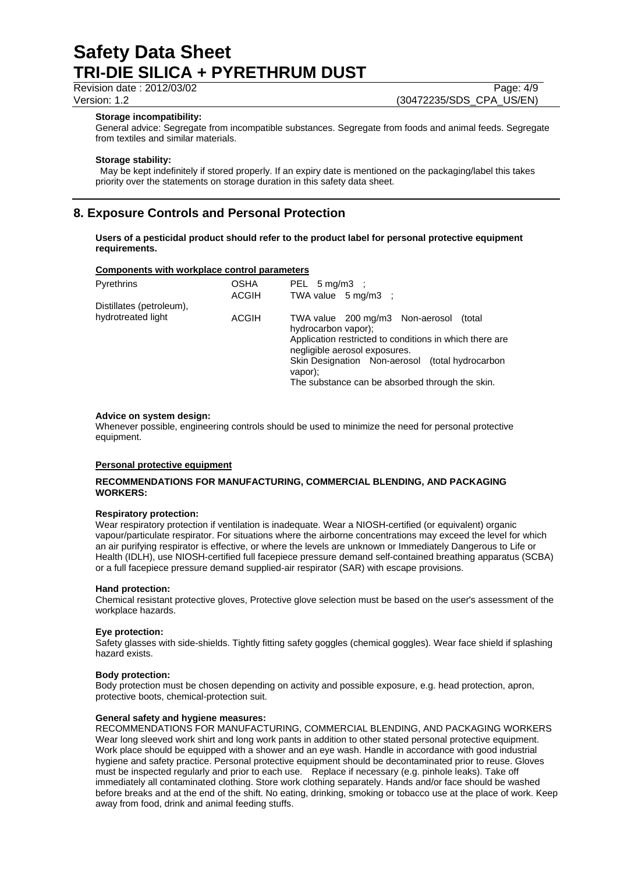Revision date : 2012/03/02 Page: 4/9

Version: 1.2 (30472235/SDS\_CPA\_US/EN)

#### **Storage incompatibility:**

General advice: Segregate from incompatible substances. Segregate from foods and animal feeds. Segregate from textiles and similar materials.

#### **Storage stability:**

 May be kept indefinitely if stored properly. If an expiry date is mentioned on the packaging/label this takes priority over the statements on storage duration in this safety data sheet.

## **8. Exposure Controls and Personal Protection**

**Users of a pesticidal product should refer to the product label for personal protective equipment requirements.** 

#### **Components with workplace control parameters**

| Pyrethrins               | OSHA<br><b>ACGIH</b> | PEL $5 \text{ mg/m3}$ ;<br>TWA value $5 \text{ mg/m3}$ :                                                                                                                                                                                                                       |  |  |
|--------------------------|----------------------|--------------------------------------------------------------------------------------------------------------------------------------------------------------------------------------------------------------------------------------------------------------------------------|--|--|
| Distillates (petroleum), |                      |                                                                                                                                                                                                                                                                                |  |  |
| hydrotreated light       | ACGIH                | TWA value 200 mg/m3 Non-aerosol<br>(total)<br>hydrocarbon vapor);<br>Application restricted to conditions in which there are<br>negligible aerosol exposures.<br>Skin Designation Non-aerosol (total hydrocarbon<br>vapor);<br>The substance can be absorbed through the skin. |  |  |

#### **Advice on system design:**

Whenever possible, engineering controls should be used to minimize the need for personal protective equipment.

#### **Personal protective equipment**

#### **RECOMMENDATIONS FOR MANUFACTURING, COMMERCIAL BLENDING, AND PACKAGING WORKERS:**

#### **Respiratory protection:**

Wear respiratory protection if ventilation is inadequate. Wear a NIOSH-certified (or equivalent) organic vapour/particulate respirator. For situations where the airborne concentrations may exceed the level for which an air purifying respirator is effective, or where the levels are unknown or Immediately Dangerous to Life or Health (IDLH), use NIOSH-certified full facepiece pressure demand self-contained breathing apparatus (SCBA) or a full facepiece pressure demand supplied-air respirator (SAR) with escape provisions.

#### **Hand protection:**

Chemical resistant protective gloves, Protective glove selection must be based on the user's assessment of the workplace hazards.

#### **Eye protection:**

Safety glasses with side-shields. Tightly fitting safety goggles (chemical goggles). Wear face shield if splashing hazard exists.

#### **Body protection:**

Body protection must be chosen depending on activity and possible exposure, e.g. head protection, apron, protective boots, chemical-protection suit.

#### **General safety and hygiene measures:**

RECOMMENDATIONS FOR MANUFACTURING, COMMERCIAL BLENDING, AND PACKAGING WORKERS Wear long sleeved work shirt and long work pants in addition to other stated personal protective equipment. Work place should be equipped with a shower and an eye wash. Handle in accordance with good industrial hygiene and safety practice. Personal protective equipment should be decontaminated prior to reuse. Gloves must be inspected regularly and prior to each use. Replace if necessary (e.g. pinhole leaks). Take off immediately all contaminated clothing. Store work clothing separately. Hands and/or face should be washed before breaks and at the end of the shift. No eating, drinking, smoking or tobacco use at the place of work. Keep away from food, drink and animal feeding stuffs.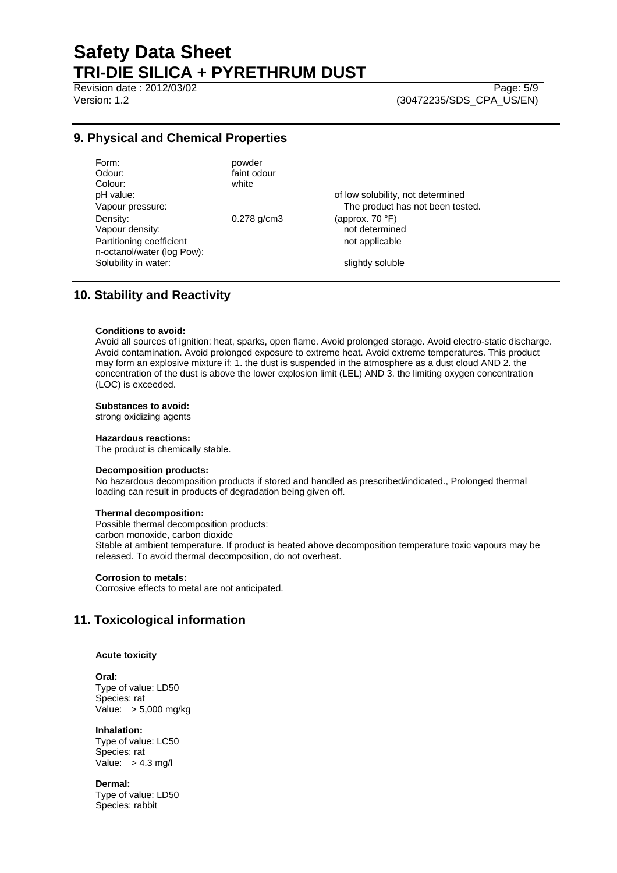Revision date : 2012/03/02 Page: 5/9

Version: 1.2 (30472235/SDS\_CPA\_US/EN)

## **9. Physical and Chemical Properties**

| Form:                      | powder           |                                   |
|----------------------------|------------------|-----------------------------------|
| Odour:                     | faint odour      |                                   |
| Colour:                    | white            |                                   |
| pH value:                  |                  | of low solubility, not determined |
| Vapour pressure:           |                  | The product has not been tested.  |
| Density:                   | $0.278$ g/cm $3$ | (approx. $70 °F$ )                |
| Vapour density:            |                  | not determined                    |
| Partitioning coefficient   |                  | not applicable                    |
| n-octanol/water (log Pow): |                  |                                   |
| Solubility in water:       |                  | slightly soluble                  |
|                            |                  |                                   |

## **10. Stability and Reactivity**

#### **Conditions to avoid:**

Avoid all sources of ignition: heat, sparks, open flame. Avoid prolonged storage. Avoid electro-static discharge. Avoid contamination. Avoid prolonged exposure to extreme heat. Avoid extreme temperatures. This product may form an explosive mixture if: 1. the dust is suspended in the atmosphere as a dust cloud AND 2. the concentration of the dust is above the lower explosion limit (LEL) AND 3. the limiting oxygen concentration (LOC) is exceeded.

#### **Substances to avoid:**

strong oxidizing agents

#### **Hazardous reactions:**

The product is chemically stable.

#### **Decomposition products:**

No hazardous decomposition products if stored and handled as prescribed/indicated., Prolonged thermal loading can result in products of degradation being given off.

#### **Thermal decomposition:**

Possible thermal decomposition products: carbon monoxide, carbon dioxide Stable at ambient temperature. If product is heated above decomposition temperature toxic vapours may be released. To avoid thermal decomposition, do not overheat.

#### **Corrosion to metals:**

Corrosive effects to metal are not anticipated.

## **11. Toxicological information**

#### **Acute toxicity**

**Oral:** Type of value: LD50 Species: rat Value: > 5,000 mg/kg

**Inhalation:**  Type of value: LC50 Species: rat Value:  $> 4.3$  mg/l

**Dermal:**  Type of value: LD50 Species: rabbit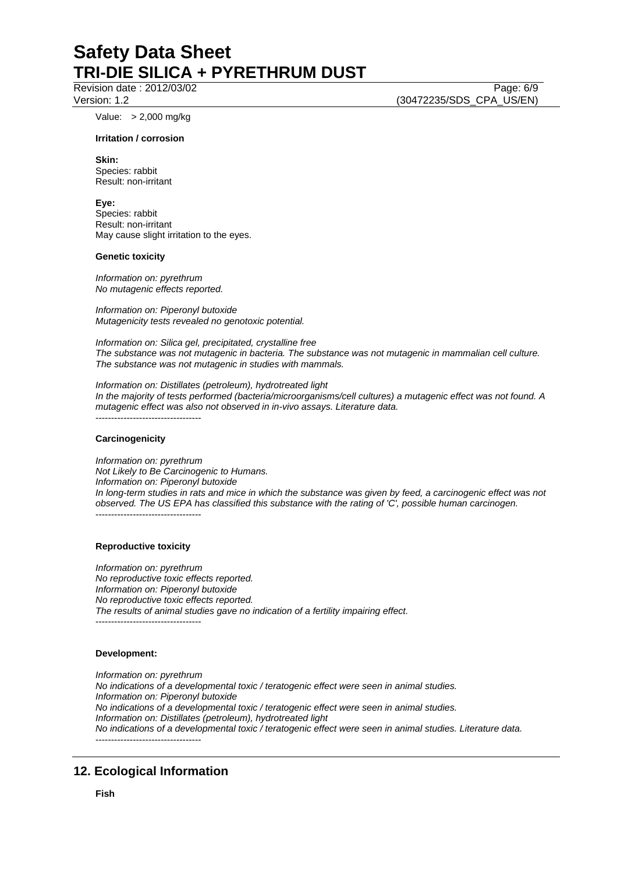Revision date : 2012/03/02 Page: 6/9

Value: > 2,000 mg/kg

#### **Irritation / corrosion**

**Skin:**  Species: rabbit Result: non-irritant

#### **Eye:**

Species: rabbit Result: non-irritant May cause slight irritation to the eyes.

#### **Genetic toxicity**

*Information on: pyrethrum No mutagenic effects reported.* 

*Information on: Piperonyl butoxide Mutagenicity tests revealed no genotoxic potential.* 

*Information on: Silica gel, precipitated, crystalline free The substance was not mutagenic in bacteria. The substance was not mutagenic in mammalian cell culture. The substance was not mutagenic in studies with mammals.* 

*Information on: Distillates (petroleum), hydrotreated light In the majority of tests performed (bacteria/microorganisms/cell cultures) a mutagenic effect was not found. A mutagenic effect was also not observed in in-vivo assays. Literature data.*  ----------------------------------

#### **Carcinogenicity**

*Information on: pyrethrum Not Likely to Be Carcinogenic to Humans. Information on: Piperonyl butoxide In long-term studies in rats and mice in which the substance was given by feed, a carcinogenic effect was not observed. The US EPA has classified this substance with the rating of 'C', possible human carcinogen.*  ----------------------------------

#### **Reproductive toxicity**

*Information on: pyrethrum No reproductive toxic effects reported. Information on: Piperonyl butoxide No reproductive toxic effects reported. The results of animal studies gave no indication of a fertility impairing effect.*  ----------------------------------

#### **Development:**

*Information on: pyrethrum No indications of a developmental toxic / teratogenic effect were seen in animal studies. Information on: Piperonyl butoxide No indications of a developmental toxic / teratogenic effect were seen in animal studies. Information on: Distillates (petroleum), hydrotreated light No indications of a developmental toxic / teratogenic effect were seen in animal studies. Literature data.*  ----------------------------------

# **12. Ecological Information**

Version: 1.2 (30472235/SDS\_CPA\_US/EN)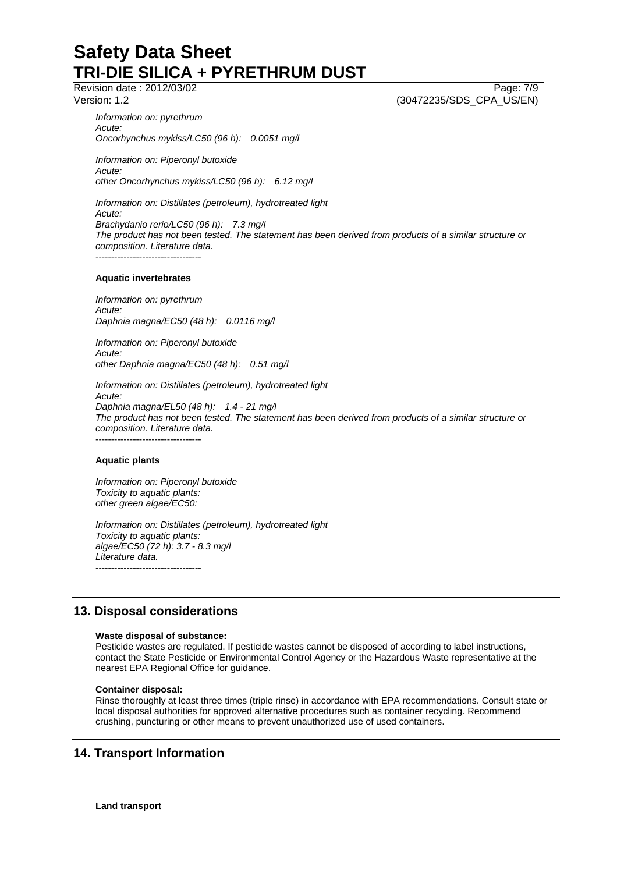Revision date : 2012/03/02 Page: 7/9

Version: 1.2 (30472235/SDS\_CPA\_US/EN)

*Information on: pyrethrum Acute: Oncorhynchus mykiss/LC50 (96 h): 0.0051 mg/l* 

*Information on: Piperonyl butoxide Acute: other Oncorhynchus mykiss/LC50 (96 h): 6.12 mg/l* 

*Information on: Distillates (petroleum), hydrotreated light Acute: Brachydanio rerio/LC50 (96 h): 7.3 mg/l The product has not been tested. The statement has been derived from products of a similar structure or composition. Literature data.*  ----------------------------------

#### **Aquatic invertebrates**

*Information on: pyrethrum Acute: Daphnia magna/EC50 (48 h): 0.0116 mg/l* 

*Information on: Piperonyl butoxide Acute: other Daphnia magna/EC50 (48 h): 0.51 mg/l* 

*Information on: Distillates (petroleum), hydrotreated light Acute: Daphnia magna/EL50 (48 h): 1.4 - 21 mg/l The product has not been tested. The statement has been derived from products of a similar structure or composition. Literature data.*  ----------------------------------

### **Aquatic plants**

*Information on: Piperonyl butoxide Toxicity to aquatic plants: other green algae/EC50:* 

*Information on: Distillates (petroleum), hydrotreated light Toxicity to aquatic plants: algae/EC50 (72 h): 3.7 - 8.3 mg/l Literature data.*  ----------------------------------

# **13. Disposal considerations**

#### **Waste disposal of substance:**

Pesticide wastes are regulated. If pesticide wastes cannot be disposed of according to label instructions, contact the State Pesticide or Environmental Control Agency or the Hazardous Waste representative at the nearest EPA Regional Office for guidance.

### **Container disposal:**

Rinse thoroughly at least three times (triple rinse) in accordance with EPA recommendations. Consult state or local disposal authorities for approved alternative procedures such as container recycling. Recommend crushing, puncturing or other means to prevent unauthorized use of used containers.

# **14. Transport Information**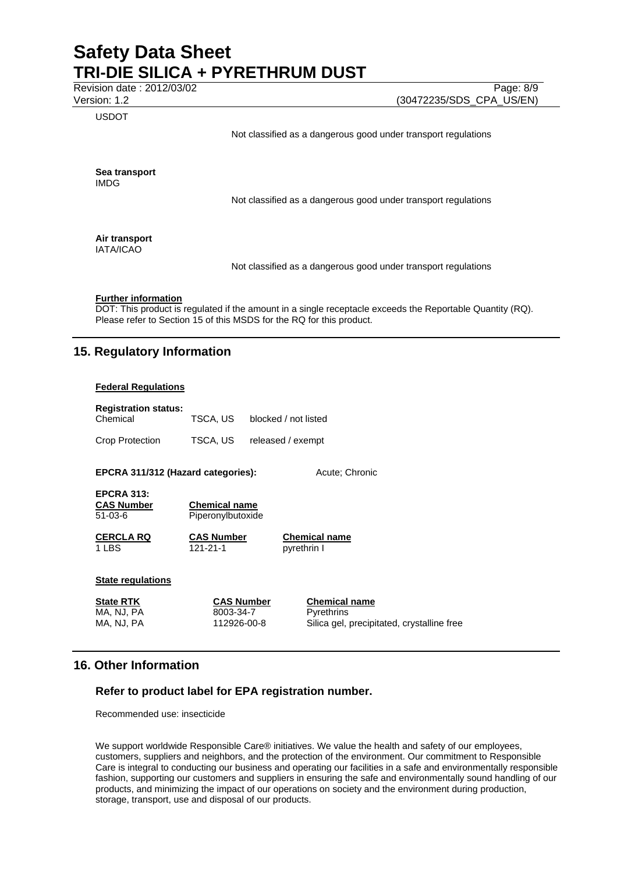Revision date : 2012/03/02 Page: 8/9

USDOT

Version: 1.2 (30472235/SDS\_CPA\_US/EN)

Not classified as a dangerous good under transport regulations

**Sea transport**  IMDG

Not classified as a dangerous good under transport regulations

**Air transport**  IATA/ICAO

Not classified as a dangerous good under transport regulations

## **Further information**

DOT: This product is regulated if the amount in a single receptacle exceeds the Reportable Quantity (RQ). Please refer to Section 15 of this MSDS for the RQ for this product.

# **15. Regulatory Information**

#### **Federal Regulations**

| <b>Registration status:</b><br>Chemical              | TSCA, US                                      | blocked / not listed |                                                                                         |  |  |
|------------------------------------------------------|-----------------------------------------------|----------------------|-----------------------------------------------------------------------------------------|--|--|
| <b>Crop Protection</b>                               | TSCA, US                                      | released / exempt    |                                                                                         |  |  |
| EPCRA 311/312 (Hazard categories):<br>Acute: Chronic |                                               |                      |                                                                                         |  |  |
| <b>EPCRA 313:</b><br><b>CAS Number</b><br>$51-03-6$  | <b>Chemical name</b><br>Piperonylbutoxide     |                      |                                                                                         |  |  |
| <b>CERCLA RQ</b><br>1 LBS                            | <b>CAS Number</b><br>121-21-1                 |                      | <b>Chemical name</b><br>pyrethrin I                                                     |  |  |
| <b>State regulations</b>                             |                                               |                      |                                                                                         |  |  |
| <b>State RTK</b><br>MA, NJ, PA<br>MA, NJ, PA         | <b>CAS Number</b><br>8003-34-7<br>112926-00-8 |                      | <b>Chemical name</b><br><b>Pyrethrins</b><br>Silica gel, precipitated, crystalline free |  |  |

## **16. Other Information**

## **Refer to product label for EPA registration number.**

Recommended use: insecticide

We support worldwide Responsible Care® initiatives. We value the health and safety of our employees, customers, suppliers and neighbors, and the protection of the environment. Our commitment to Responsible Care is integral to conducting our business and operating our facilities in a safe and environmentally responsible fashion, supporting our customers and suppliers in ensuring the safe and environmentally sound handling of our products, and minimizing the impact of our operations on society and the environment during production, storage, transport, use and disposal of our products.